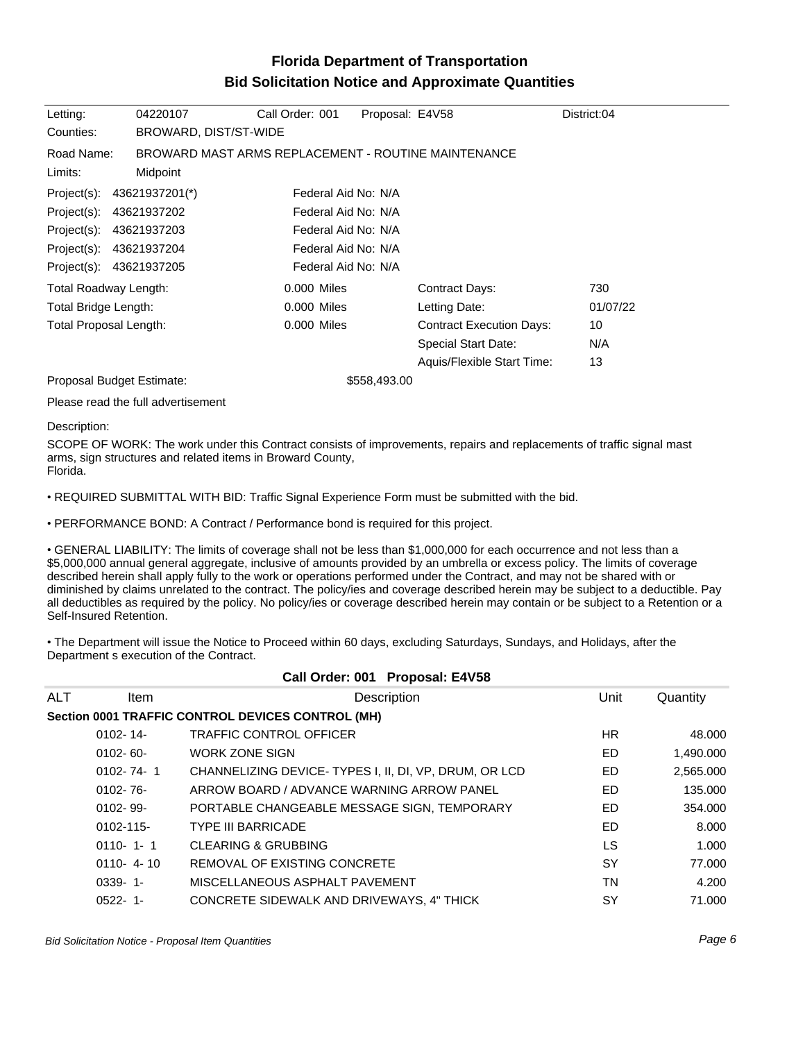## **Florida Department of Transportation Bid Solicitation Notice and Approximate Quantities**

| Letting:                  | 04220107                                            | Call Order: 001     | Proposal: E4V58                 |                            | District:04 |  |  |  |
|---------------------------|-----------------------------------------------------|---------------------|---------------------------------|----------------------------|-------------|--|--|--|
| Counties:                 | BROWARD, DIST/ST-WIDE                               |                     |                                 |                            |             |  |  |  |
| Road Name:                | BROWARD MAST ARMS REPLACEMENT - ROUTINE MAINTENANCE |                     |                                 |                            |             |  |  |  |
| Limits:                   | Midpoint                                            |                     |                                 |                            |             |  |  |  |
| Project(s):               | 43621937201(*)                                      | Federal Aid No: N/A |                                 |                            |             |  |  |  |
| Project(s):               | 43621937202                                         | Federal Aid No: N/A |                                 |                            |             |  |  |  |
| Project(s):               | 43621937203                                         | Federal Aid No: N/A |                                 |                            |             |  |  |  |
| Project(s):               | 43621937204                                         | Federal Aid No: N/A |                                 |                            |             |  |  |  |
| Project(s): 43621937205   |                                                     | Federal Aid No: N/A |                                 |                            |             |  |  |  |
| Total Roadway Length:     |                                                     | 0.000 Miles         |                                 | Contract Days:             | 730         |  |  |  |
| Total Bridge Length:      |                                                     | 0.000 Miles         |                                 | Letting Date:              | 01/07/22    |  |  |  |
| Total Proposal Length:    |                                                     | 0.000 Miles         | <b>Contract Execution Days:</b> |                            | 10          |  |  |  |
|                           |                                                     |                     |                                 | <b>Special Start Date:</b> | N/A         |  |  |  |
|                           |                                                     |                     |                                 | Aquis/Flexible Start Time: | 13          |  |  |  |
| Proposal Budget Estimate: |                                                     | \$558,493.00        |                                 |                            |             |  |  |  |

Please read the full advertisement

## Description:

SCOPE OF WORK: The work under this Contract consists of improvements, repairs and replacements of traffic signal mast arms, sign structures and related items in Broward County, Florida.

REQUIRED SUBMITTAL WITH BID: Traffic Signal Experience Form must be submitted with the bid.

PERFORMANCE BOND: A Contract / Performance bond is required for this project.

GENERAL LIABILITY: The limits of coverage shall not be less than \$1,000,000 for each occurrence and not less than a \$5,000,000 annual general aggregate, inclusive of amounts provided by an umbrella or excess policy. The limits of coverage described herein shall apply fully to the work or operations performed under the Contract, and may not be shared with or diminished by claims unrelated to the contract. The policy/ies and coverage described herein may be subject to a deductible. Pay all deductibles as required by the policy. No policy/ies or coverage described herein may contain or be subject to a Retention or a Self-Insured Retention.

The Department will issue the Notice to Proceed within 60 days, excluding Saturdays, Sundays, and Holidays, after the Department s execution of the Contract.

| Call Order: 001 Proposal: E4V58 |                 |                                                       |      |           |  |  |  |  |
|---------------------------------|-----------------|-------------------------------------------------------|------|-----------|--|--|--|--|
| <b>ALT</b>                      | ltem            | Description                                           | Unit | Quantity  |  |  |  |  |
|                                 |                 | Section 0001 TRAFFIC CONTROL DEVICES CONTROL (MH)     |      |           |  |  |  |  |
|                                 | $0102 - 14$     | <b>TRAFFIC CONTROL OFFICER</b>                        | HR.  | 48.000    |  |  |  |  |
|                                 | $0102 - 60 -$   | <b>WORK ZONE SIGN</b>                                 | ED   | 1,490.000 |  |  |  |  |
|                                 | $0102 - 74 - 1$ | CHANNELIZING DEVICE-TYPES I, II, DI, VP, DRUM, OR LCD | ED   | 2,565.000 |  |  |  |  |
|                                 | $0102 - 76$ -   | ARROW BOARD / ADVANCE WARNING ARROW PANEL             | ED   | 135,000   |  |  |  |  |
|                                 | $0102 - 99 -$   | PORTABLE CHANGEABLE MESSAGE SIGN, TEMPORARY           | ED   | 354.000   |  |  |  |  |
|                                 | 0102-115-       | <b>TYPE III BARRICADE</b>                             | ED   | 8.000     |  |  |  |  |
|                                 | $0110 - 1 - 1$  | <b>CLEARING &amp; GRUBBING</b>                        | LS   | 1.000     |  |  |  |  |
|                                 | $0110 - 4 - 10$ | REMOVAL OF EXISTING CONCRETE                          | SY   | 77.000    |  |  |  |  |
|                                 | $0339 - 1 -$    | MISCELLANEOUS ASPHALT PAVEMENT                        | TN   | 4.200     |  |  |  |  |
|                                 | $0522 - 1$ -    | CONCRETE SIDEWALK AND DRIVEWAYS, 4" THICK             | SY   | 71.000    |  |  |  |  |